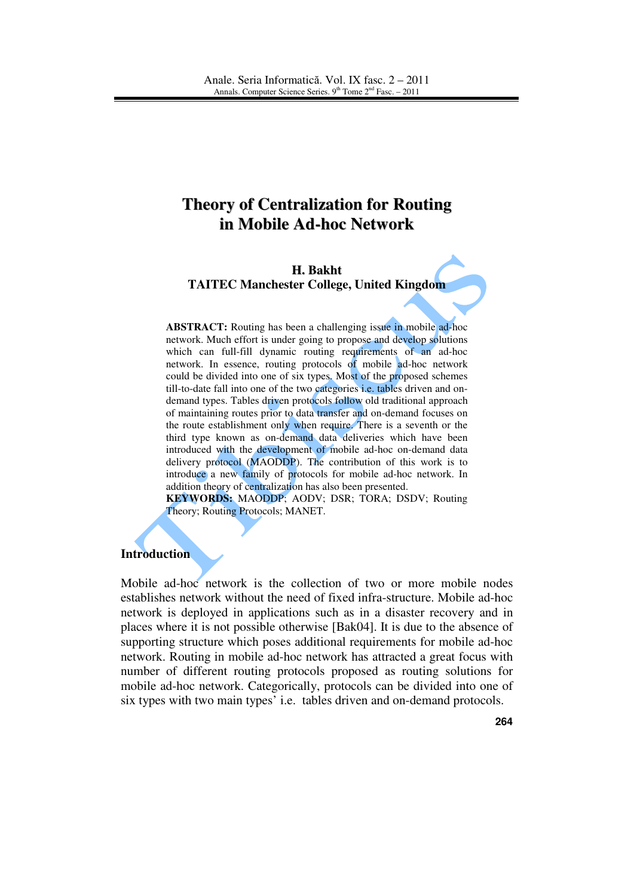# **Theory of Centralization for Routing in Mobile Ad-hoc Network**

## **H. Bakht TAITEC Manchester College, United Kingdom**

**ABSTRACT:** Routing has been a challenging issue in mobile ad-hoc network. Much effort is under going to propose and develop solutions which can full-fill dynamic routing requirements of an ad-hoc network. In essence, routing protocols of mobile ad-hoc network could be divided into one of six types. Most of the proposed schemes till-to-date fall into one of the two categories i.e. tables driven and ondemand types. Tables driven protocols follow old traditional approach of maintaining routes prior to data transfer and on-demand focuses on the route establishment only when require. There is a seventh or the third type known as on-demand data deliveries which have been introduced with the development of mobile ad-hoc on-demand data delivery protocol (MAODDP). The contribution of this work is to introduce a new family of protocols for mobile ad-hoc network. In addition theory of centralization has also been presented.

**KEYWORDS:** MAODDP; AODV; DSR; TORA; DSDV; Routing Theory; Routing Protocols; MANET.

## **Introduction**

Mobile ad-hoc network is the collection of two or more mobile nodes establishes network without the need of fixed infra-structure. Mobile ad-hoc network is deployed in applications such as in a disaster recovery and in places where it is not possible otherwise [Bak04]. It is due to the absence of supporting structure which poses additional requirements for mobile ad-hoc network. Routing in mobile ad-hoc network has attracted a great focus with number of different routing protocols proposed as routing solutions for mobile ad-hoc network. Categorically, protocols can be divided into one of six types with two main types' i.e. tables driven and on-demand protocols.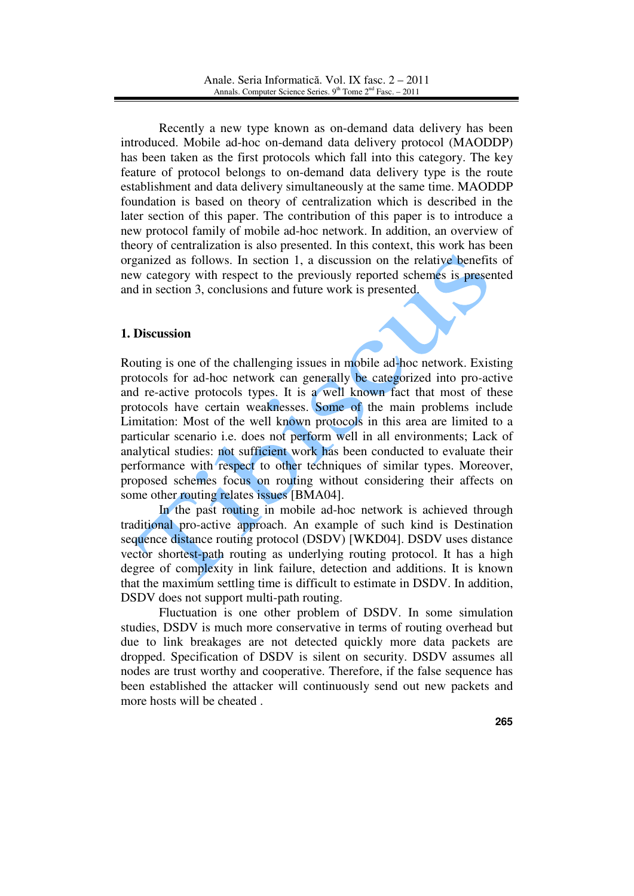Recently a new type known as on-demand data delivery has been introduced. Mobile ad-hoc on-demand data delivery protocol (MAODDP) has been taken as the first protocols which fall into this category. The key feature of protocol belongs to on-demand data delivery type is the route establishment and data delivery simultaneously at the same time. MAODDP foundation is based on theory of centralization which is described in the later section of this paper. The contribution of this paper is to introduce a new protocol family of mobile ad-hoc network. In addition, an overview of theory of centralization is also presented. In this context, this work has been organized as follows. In section 1, a discussion on the relative benefits of new category with respect to the previously reported schemes is presented and in section 3, conclusions and future work is presented.

# **1. Discussion**

Routing is one of the challenging issues in mobile ad-hoc network. Existing protocols for ad-hoc network can generally be categorized into pro*-*active and re-active protocols types. It is a well known fact that most of these protocols have certain weaknesses. Some of the main problems include Limitation: Most of the well known protocols in this area are limited to a particular scenario i.e. does not perform well in all environments; Lack of analytical studies: not sufficient work has been conducted to evaluate their performance with respect to other techniques of similar types. Moreover, proposed schemes focus on routing without considering their affects on some other routing relates issues [BMA04].

In the past routing in mobile ad-hoc network is achieved through traditional pro-active approach. An example of such kind is Destination sequence distance routing protocol (DSDV) [WKD04]. DSDV uses distance vector shortest-path routing as underlying routing protocol. It has a high degree of complexity in link failure, detection and additions. It is known that the maximum settling time is difficult to estimate in DSDV. In addition, DSDV does not support multi-path routing.

Fluctuation is one other problem of DSDV. In some simulation studies, DSDV is much more conservative in terms of routing overhead but due to link breakages are not detected quickly more data packets are dropped. Specification of DSDV is silent on security. DSDV assumes all nodes are trust worthy and cooperative. Therefore, if the false sequence has been established the attacker will continuously send out new packets and more hosts will be cheated .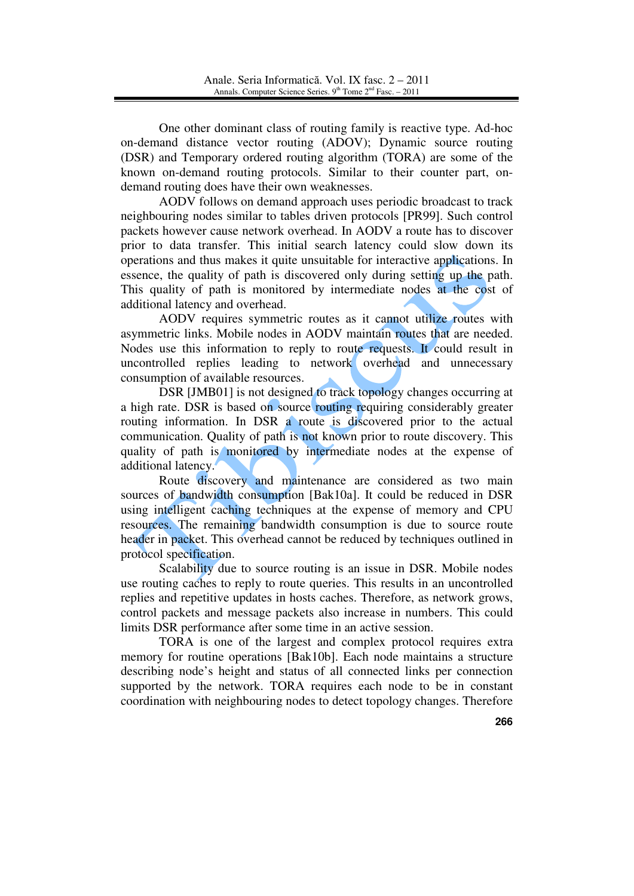One other dominant class of routing family is reactive type. Ad-hoc on-demand distance vector routing (ADOV); Dynamic source routing (DSR) and Temporary ordered routing algorithm (TORA) are some of the known on-demand routing protocols. Similar to their counter part, ondemand routing does have their own weaknesses.

AODV follows on demand approach uses periodic broadcast to track neighbouring nodes similar to tables driven protocols [PR99]. Such control packets however cause network overhead. In AODV a route has to discover prior to data transfer. This initial search latency could slow down its operations and thus makes it quite unsuitable for interactive applications. In essence, the quality of path is discovered only during setting up the path. This quality of path is monitored by intermediate nodes at the cost of additional latency and overhead.

AODV requires symmetric routes as it cannot utilize routes with asymmetric links. Mobile nodes in AODV maintain routes that are needed. Nodes use this information to reply to route requests. It could result in uncontrolled replies leading to network overhead and unnecessary consumption of available resources.

DSR [JMB01] is not designed to track topology changes occurring at a high rate. DSR is based on source routing requiring considerably greater routing information. In DSR a route is discovered prior to the actual communication. Quality of path is not known prior to route discovery. This quality of path is monitored by intermediate nodes at the expense of additional latency.

Route discovery and maintenance are considered as two main sources of bandwidth consumption [Bak10a]. It could be reduced in DSR using intelligent caching techniques at the expense of memory and CPU resources. The remaining bandwidth consumption is due to source route header in packet. This overhead cannot be reduced by techniques outlined in protocol specification.

Scalability due to source routing is an issue in DSR. Mobile nodes use routing caches to reply to route queries. This results in an uncontrolled replies and repetitive updates in hosts caches. Therefore, as network grows, control packets and message packets also increase in numbers. This could limits DSR performance after some time in an active session.

TORA is one of the largest and complex protocol requires extra memory for routine operations [Bak10b]. Each node maintains a structure describing node's height and status of all connected links per connection supported by the network. TORA requires each node to be in constant coordination with neighbouring nodes to detect topology changes. Therefore

**266**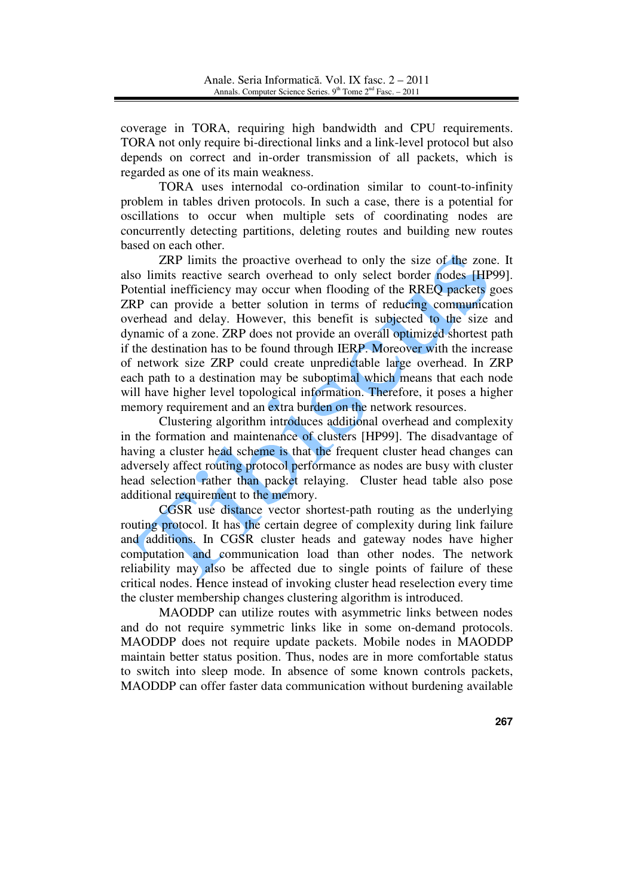coverage in TORA, requiring high bandwidth and CPU requirements. TORA not only require bi-directional links and a link-level protocol but also depends on correct and in-order transmission of all packets, which is regarded as one of its main weakness.

TORA uses internodal co-ordination similar to count-to-infinity problem in tables driven protocols. In such a case, there is a potential for oscillations to occur when multiple sets of coordinating nodes are concurrently detecting partitions, deleting routes and building new routes based on each other.

ZRP limits the proactive overhead to only the size of the zone. It also limits reactive search overhead to only select border nodes [HP99]. Potential inefficiency may occur when flooding of the RREQ packets goes ZRP can provide a better solution in terms of reducing communication overhead and delay. However, this benefit is subjected to the size and dynamic of a zone. ZRP does not provide an overall optimized shortest path if the destination has to be found through IERP. Moreover with the increase of network size ZRP could create unpredictable large overhead. In ZRP each path to a destination may be suboptimal which means that each node will have higher level topological information. Therefore, it poses a higher memory requirement and an extra burden on the network resources.

Clustering algorithm introduces additional overhead and complexity in the formation and maintenance of clusters [HP99]. The disadvantage of having a cluster head scheme is that the frequent cluster head changes can adversely affect routing protocol performance as nodes are busy with cluster head selection rather than packet relaying. Cluster head table also pose additional requirement to the memory.

CGSR use distance vector shortest-path routing as the underlying routing protocol. It has the certain degree of complexity during link failure and additions. In CGSR cluster heads and gateway nodes have higher computation and communication load than other nodes. The network reliability may also be affected due to single points of failure of these critical nodes. Hence instead of invoking cluster head reselection every time the cluster membership changes clustering algorithm is introduced.

MAODDP can utilize routes with asymmetric links between nodes and do not require symmetric links like in some on-demand protocols. MAODDP does not require update packets. Mobile nodes in MAODDP maintain better status position. Thus, nodes are in more comfortable status to switch into sleep mode. In absence of some known controls packets, MAODDP can offer faster data communication without burdening available

**267**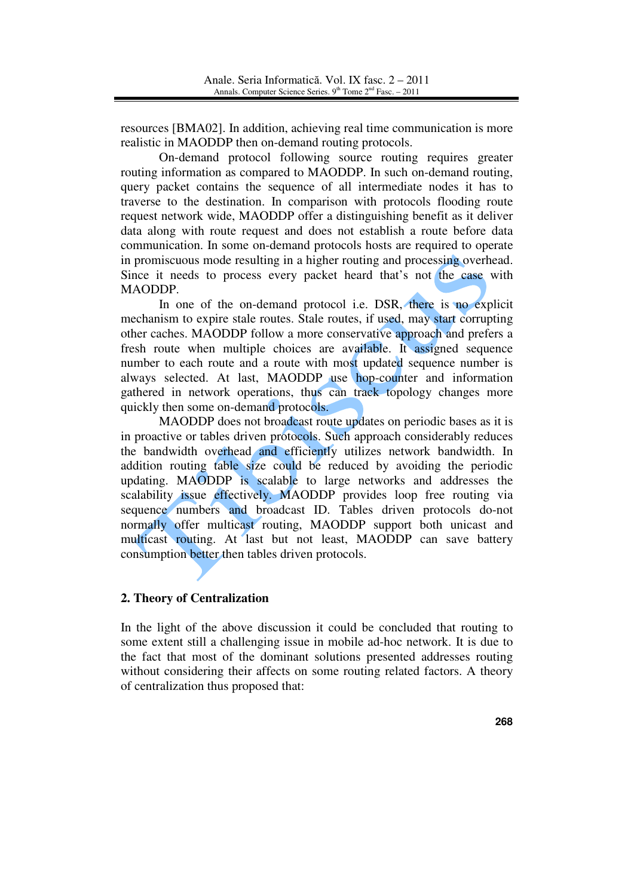resources [BMA02]. In addition, achieving real time communication is more realistic in MAODDP then on-demand routing protocols.

On-demand protocol following source routing requires greater routing information as compared to MAODDP. In such on-demand routing, query packet contains the sequence of all intermediate nodes it has to traverse to the destination. In comparison with protocols flooding route request network wide, MAODDP offer a distinguishing benefit as it deliver data along with route request and does not establish a route before data communication. In some on-demand protocols hosts are required to operate in promiscuous mode resulting in a higher routing and processing overhead. Since it needs to process every packet heard that's not the case with MAODDP.

In one of the on-demand protocol i.e. DSR, there is no explicit mechanism to expire stale routes. Stale routes, if used, may start corrupting other caches. MAODDP follow a more conservative approach and prefers a fresh route when multiple choices are available. It assigned sequence number to each route and a route with most updated sequence number is always selected. At last, MAODDP use hop-counter and information gathered in network operations, thus can track topology changes more quickly then some on-demand protocols.

MAODDP does not broadcast route updates on periodic bases as it is in proactive or tables driven protocols. Such approach considerably reduces the bandwidth overhead and efficiently utilizes network bandwidth. In addition routing table size could be reduced by avoiding the periodic updating. MAODDP is scalable to large networks and addresses the scalability issue effectively. MAODDP provides loop free routing via sequence numbers and broadcast ID. Tables driven protocols do-not normally offer multicast routing, MAODDP support both unicast and multicast routing. At last but not least, MAODDP can save battery consumption better then tables driven protocols.

# **2. Theory of Centralization**

In the light of the above discussion it could be concluded that routing to some extent still a challenging issue in mobile ad-hoc network. It is due to the fact that most of the dominant solutions presented addresses routing without considering their affects on some routing related factors. A theory of centralization thus proposed that:

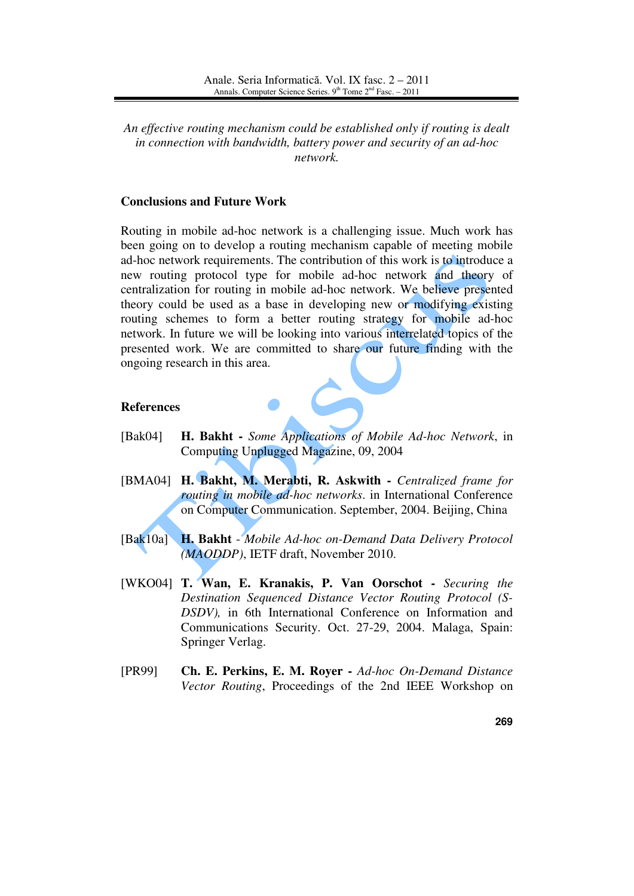*An effective routing mechanism could be established only if routing is dealt in connection with bandwidth, battery power and security of an ad-hoc network.* 

#### **Conclusions and Future Work**

Routing in mobile ad-hoc network is a challenging issue. Much work has been going on to develop a routing mechanism capable of meeting mobile ad-hoc network requirements. The contribution of this work is to introduce a new routing protocol type for mobile ad-hoc network and theory of centralization for routing in mobile ad-hoc network. We believe presented theory could be used as a base in developing new or modifying existing routing schemes to form a better routing strategy for mobile ad-hoc network. In future we will be looking into various interrelated topics of the presented work. We are committed to share our future finding with the ongoing research in this area.

#### **References**

- [Bak04] **H. Bakht** *Some Applications of Mobile Ad-hoc Network*, in Computing Unplugged Magazine, 09, 2004
- [BMA04] **H. Bakht, M. Merabti, R. Askwith** *Centralized frame for routing in mobile ad-hoc networks*. in International Conference on Computer Communication. September, 2004. Beijing, China
- [Bak10a] **H. Bakht**  *Mobile Ad-hoc on-Demand Data Delivery Protocol (MAODDP)*, IETF draft, November 2010.
- [WKO04] **T. Wan, E. Kranakis, P. Van Oorschot** *Securing the Destination Sequenced Distance Vector Routing Protocol (S-DSDV),* in 6th International Conference on Information and Communications Security. Oct. 27-29, 2004. Malaga, Spain: Springer Verlag.
- [PR99] **Ch. E. Perkins, E. M. Royer** *Ad-hoc On-Demand Distance Vector Routing*, Proceedings of the 2nd IEEE Workshop on